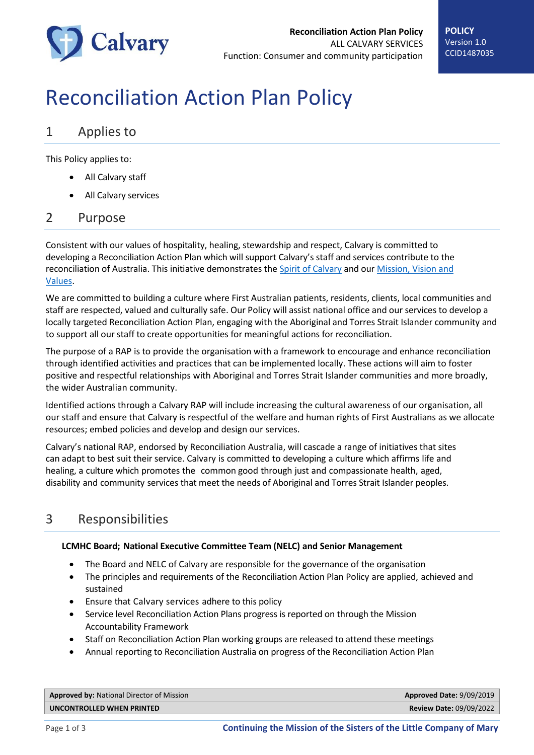

# Reconciliation Action Plan Policy

## 1 Applies to

This Policy applies to:

- All Calvary staff
- All Calvary services

#### 2 Purpose

Consistent with our values of hospitality, healing, stewardship and respect, Calvary is committed to developing a Reconciliation Action Plan which will support Calvary's staff and services contribute to the reconciliation of Australia. This initiative demonstrates th[e Spirit of Calvary](http://connect.calvarycare.org.au/ID=CCID798533) and our Mission, Vision and [Values.](http://connect.calvarycare.org.au/ID=CCID798532)

We are committed to building a culture where First Australian patients, residents, clients, local communities and staff are respected, valued and culturally safe. Our Policy will assist national office and our services to develop a locally targeted Reconciliation Action Plan, engaging with the Aboriginal and Torres Strait Islander community and to support all our staff to create opportunities for meaningful actions for reconciliation.

The purpose of a RAP is to provide the organisation with a framework to encourage and enhance reconciliation through identified activities and practices that can be implemented locally. These actions will aim to foster positive and respectful relationships with Aboriginal and Torres Strait Islander communities and more broadly, the wider Australian community.

Identified actions through a Calvary RAP will include increasing the cultural awareness of our organisation, all our staff and ensure that Calvary is respectful of the welfare and human rights of First Australians as we allocate resources; embed policies and develop and design our services.

Calvary's national RAP, endorsed by Reconciliation Australia, will cascade a range of initiatives that sites can adapt to best suit their service. Calvary is committed to developing a culture which affirms life and healing, a culture which promotes the common good through just and compassionate health, aged, disability and community services that meet the needs of Aboriginal and Torres Strait Islander peoples.

# 3 Responsibilities

#### **LCMHC Board; National Executive Committee Team (NELC) and Senior Management**

- The Board and NELC of Calvary are responsible for the governance of the organisation
- The principles and requirements of the Reconciliation Action Plan Policy are applied, achieved and sustained
- Ensure that Calvary services adhere to this policy
- Service level Reconciliation Action Plans progress is reported on through the Mission Accountability Framework
- Staff on Reconciliation Action Plan working groups are released to attend these meetings
- Annual reporting to Reconciliation Australia on progress of the Reconciliation Action Plan

| <b>Approved by: National Director of Mission</b> | Approved Date: 9/09/2019       |
|--------------------------------------------------|--------------------------------|
| UNCONTROLLED WHEN PRINTED                        | <b>Review Date: 09/09/2022</b> |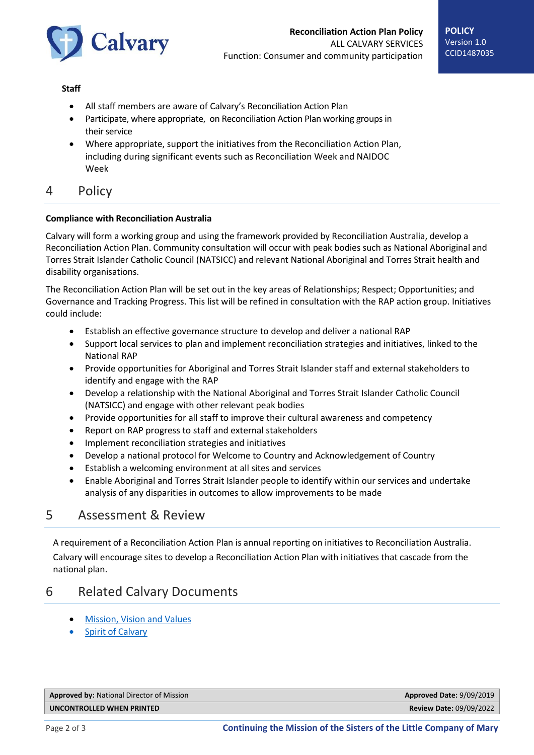

#### **Staff**

- All staff members are aware of Calvary's Reconciliation Action Plan
- Participate, where appropriate, on Reconciliation Action Plan working groups in their service
- Where appropriate, support the initiatives from the Reconciliation Action Plan, including during significant events such as Reconciliation Week and NAIDOC Week

## 4 Policy

#### **Compliance with Reconciliation Australia**

Calvary will form a working group and using the framework provided by Reconciliation Australia, develop a Reconciliation Action Plan. Community consultation will occur with peak bodies such as National Aboriginal and Torres Strait Islander Catholic Council (NATSICC) and relevant National Aboriginal and Torres Strait health and disability organisations.

The Reconciliation Action Plan will be set out in the key areas of Relationships; Respect; Opportunities; and Governance and Tracking Progress. This list will be refined in consultation with the RAP action group. Initiatives could include:

- Establish an effective governance structure to develop and deliver a national RAP
- Support local services to plan and implement reconciliation strategies and initiatives, linked to the National RAP
- Provide opportunities for Aboriginal and Torres Strait Islander staff and external stakeholders to identify and engage with the RAP
- Develop a relationship with the National Aboriginal and Torres Strait Islander Catholic Council (NATSICC) and engage with other relevant peak bodies
- Provide opportunities for all staff to improve their cultural awareness and competency
- Report on RAP progress to staff and external stakeholders
- Implement reconciliation strategies and initiatives
- Develop a national protocol for Welcome to Country and Acknowledgement of Country
- Establish a welcoming environment at all sites and services
- Enable Aboriginal and Torres Strait Islander people to identify within our services and undertake analysis of any disparities in outcomes to allow improvements to be made

## 5 Assessment & Review

A requirement of a Reconciliation Action Plan is annual reporting on initiatives to Reconciliation Australia. Calvary will encourage sites to develop a Reconciliation Action Plan with initiatives that cascade from the national plan.

## 6 Related Calvary Documents

- [Mission, Vision and Values](http://connect.calvarycare.org.au/ID=CCID798532)
- [Spirit of Calvary](http://connect.calvarycare.org.au/ID=CCID798533)

| <b>Approved by: National Director of Mission</b> | Approved Date: 9/09/2019       |
|--------------------------------------------------|--------------------------------|
| UNCONTROLLED WHEN PRINTED                        | <b>Review Date: 09/09/2022</b> |